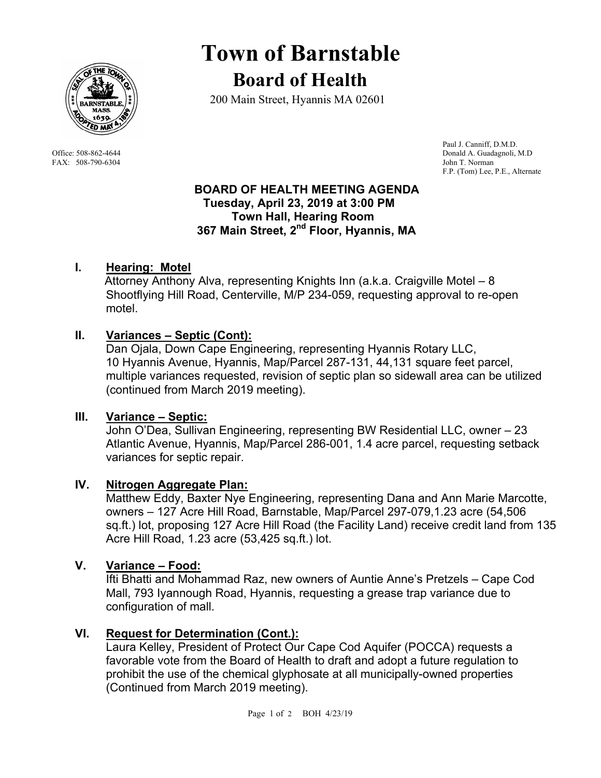

FAX: 508-790-6304 John T. Norman

# **Town of Barnstable Board of Health**

200 Main Street, Hyannis MA 02601

 Paul J. Canniff, D.M.D. Office: 508-862-4644 Donald A. Guadagnoli, M.D F.P. (Tom) Lee, P.E., Alternate

#### **BOARD OF HEALTH MEETING AGENDA Tuesday, April 23, 2019 at 3:00 PM Town Hall, Hearing Room 367 Main Street, 2nd Floor, Hyannis, MA**

# **I. Hearing: Motel**

 Attorney Anthony Alva, representing Knights Inn (a.k.a. Craigville Motel – 8 Shootflying Hill Road, Centerville, M/P 234-059, requesting approval to re-open motel.

# **II. Variances – Septic (Cont):**

Dan Ojala, Down Cape Engineering, representing Hyannis Rotary LLC, 10 Hyannis Avenue, Hyannis, Map/Parcel 287-131, 44,131 square feet parcel, multiple variances requested, revision of septic plan so sidewall area can be utilized (continued from March 2019 meeting).

## **III. Variance – Septic:**

John O'Dea, Sullivan Engineering, representing BW Residential LLC, owner – 23 Atlantic Avenue, Hyannis, Map/Parcel 286-001, 1.4 acre parcel, requesting setback variances for septic repair.

## **IV. Nitrogen Aggregate Plan:**

Matthew Eddy, Baxter Nye Engineering, representing Dana and Ann Marie Marcotte, owners – 127 Acre Hill Road, Barnstable, Map/Parcel 297-079,1.23 acre (54,506 sq.ft.) lot, proposing 127 Acre Hill Road (the Facility Land) receive credit land from 135 Acre Hill Road, 1.23 acre (53,425 sq.ft.) lot.

## **V. Variance – Food:**

Ifti Bhatti and Mohammad Raz, new owners of Auntie Anne's Pretzels – Cape Cod Mall, 793 Iyannough Road, Hyannis, requesting a grease trap variance due to configuration of mall.

## **VI. Request for Determination (Cont.):**

Laura Kelley, President of Protect Our Cape Cod Aquifer (POCCA) requests a favorable vote from the Board of Health to draft and adopt a future regulation to prohibit the use of the chemical glyphosate at all municipally-owned properties (Continued from March 2019 meeting).